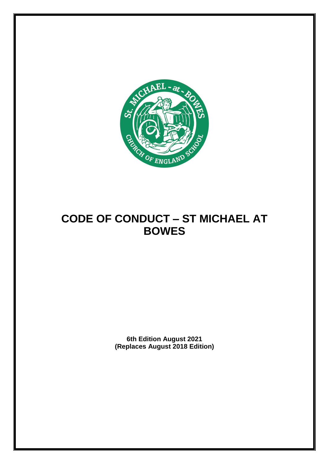

# **CODE OF CONDUCT – ST MICHAEL AT BOWES**

**6th Edition August 2021 (Replaces August 2018 Edition)**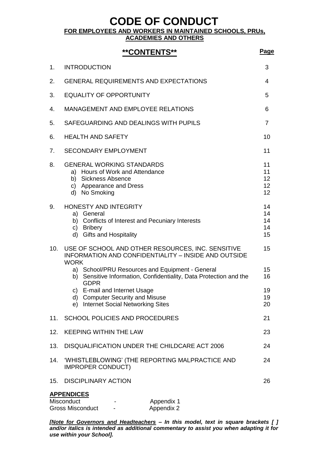**CODE OF CONDUCT** 

**FOR EMPLOYEES AND WORKERS IN MAINTAINED SCHOOLS, PRUs,** 

**ACADEMIES AND OTHERS**

### **\*\*CONTENTS\*\* Page**

| 1.  | <b>INTRODUCTION</b>                                                                                                                                                                                                                                                                                                                        | 3                          |
|-----|--------------------------------------------------------------------------------------------------------------------------------------------------------------------------------------------------------------------------------------------------------------------------------------------------------------------------------------------|----------------------------|
| 2.  | <b>GENERAL REQUIREMENTS AND EXPECTATIONS</b>                                                                                                                                                                                                                                                                                               | 4                          |
| 3.  | <b>EQUALITY OF OPPORTUNITY</b>                                                                                                                                                                                                                                                                                                             | 5                          |
| 4.  | <b>MANAGEMENT AND EMPLOYEE RELATIONS</b>                                                                                                                                                                                                                                                                                                   | 6                          |
| 5.  | SAFEGUARDING AND DEALINGS WITH PUPILS                                                                                                                                                                                                                                                                                                      | $\overline{7}$             |
| 6.  | <b>HEALTH AND SAFETY</b>                                                                                                                                                                                                                                                                                                                   | 10                         |
| 7.  | <b>SECONDARY EMPLOYMENT</b>                                                                                                                                                                                                                                                                                                                | 11                         |
| 8.  | <b>GENERAL WORKING STANDARDS</b><br>a) Hours of Work and Attendance<br>b) Sickness Absence<br>c) Appearance and Dress<br>d) No Smoking                                                                                                                                                                                                     | 11<br>11<br>12<br>12<br>12 |
| 9.  | HONESTY AND INTEGRITY<br>a) General<br>b) Conflicts of Interest and Pecuniary Interests<br>c) Bribery<br>d) Gifts and Hospitality                                                                                                                                                                                                          | 14<br>14<br>14<br>14<br>15 |
| 10. | USE OF SCHOOL AND OTHER RESOURCES, INC. SENSITIVE<br><b>INFORMATION AND CONFIDENTIALITY - INSIDE AND OUTSIDE</b><br><b>WORK</b><br>a) School/PRU Resources and Equipment - General<br>b) Sensitive Information, Confidentiality, Data Protection and the<br><b>GDPR</b><br>c) E-mail and Internet Usage<br>d) Computer Security and Misuse | 15<br>15<br>16<br>19<br>19 |
| 11. | e) Internet Social Networking Sites<br><b>SCHOOL POLICIES AND PROCEDURES</b>                                                                                                                                                                                                                                                               | 20<br>21                   |
| 12. | <b>KEEPING WITHIN THE LAW</b>                                                                                                                                                                                                                                                                                                              | 23                         |
|     |                                                                                                                                                                                                                                                                                                                                            | 24                         |
| 13. | DISQUALIFICATION UNDER THE CHILDCARE ACT 2006                                                                                                                                                                                                                                                                                              |                            |
| 14. | 'WHISTLEBLOWING' (THE REPORTING MALPRACTICE AND<br><b>IMPROPER CONDUCT)</b>                                                                                                                                                                                                                                                                | 24                         |
| 15. | <b>DISCIPLINARY ACTION</b>                                                                                                                                                                                                                                                                                                                 | 26                         |
|     | <b>APPENDICES</b><br>Misconduct<br>Appendix 1<br><b>Gross Misconduct</b><br>Appendix 2                                                                                                                                                                                                                                                     |                            |

*[Note for Governors and Headteachers – In this model, text in square brackets [ ] and/or italics is intended as additional commentary to assist you when adapting it for use within your School].*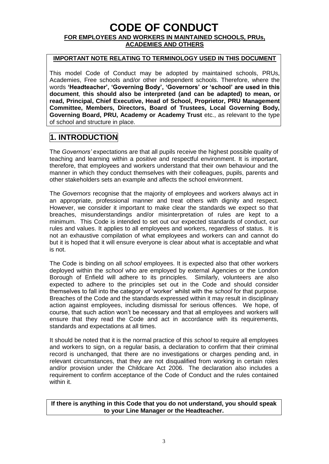### **CODE OF CONDUCT FOR EMPLOYEES AND WORKERS IN MAINTAINED SCHOOLS, PRUs, ACADEMIES AND OTHERS**

#### **IMPORTANT NOTE RELATING TO TERMINOLOGY USED IN THIS DOCUMENT**

This model Code of Conduct may be adopted by maintained schools, PRUs, Academies, Free schools and/or other independent schools. Therefore, where the words **'Headteacher', 'Governing Body', 'Governors' or 'school' are used in this document**, **this should also be interpreted (and can be adapted) to mean, or read, Principal, Chief Executive, Head of School, Proprietor, PRU Management Committee, Members, Directors, Board of Trustees, Local Governing Body, Governing Board, PRU, Academy or Academy Trust** etc., as relevant to the type of school and structure in place.

### **1. INTRODUCTION**

The *Governors'* expectations are that all pupils receive the highest possible quality of teaching and learning within a positive and respectful environment. It is important, therefore, that employees and workers understand that their own behaviour and the manner in which they conduct themselves with their colleagues, pupils, parents and other stakeholders sets an example and affects the school environment.

The *Governors* recognise that the majority of employees and workers always act in an appropriate, professional manner and treat others with dignity and respect. However, we consider it important to make clear the standards we expect so that breaches, misunderstandings and/or misinterpretation of rules are kept to a minimum. This Code is intended to set out our expected standards of conduct, our rules and values. It applies to all employees and workers, regardless of status. It is not an exhaustive compilation of what employees and workers can and cannot do but it is hoped that it will ensure everyone is clear about what is acceptable and what is not.

The Code is binding on all *school* employees. It is expected also that other workers deployed within the *school* who are employed by external Agencies or the London Borough of Enfield will adhere to its principles. Similarly, volunteers are also expected to adhere to the principles set out in the Code and should consider themselves to fall into the category of 'worker' whilst with the s*chool* for that purpose. Breaches of the Code and the standards expressed within it may result in disciplinary action against employees, including dismissal for serious offences. We hope, of course, that such action won't be necessary and that all employees and workers will ensure that they read the Code and act in accordance with its requirements, standards and expectations at all times.

It should be noted that it is the normal practice of this *school* to require all employees and workers to sign, on a regular basis, a declaration to confirm that their criminal record is unchanged, that there are no investigations or charges pending and, in relevant circumstances, that they are not disqualified from working in certain roles and/or provision under the Childcare Act 2006. The declaration also includes a requirement to confirm acceptance of the Code of Conduct and the rules contained within it.

**If there is anything in this Code that you do not understand, you should speak to your Line Manager or the Headteacher.**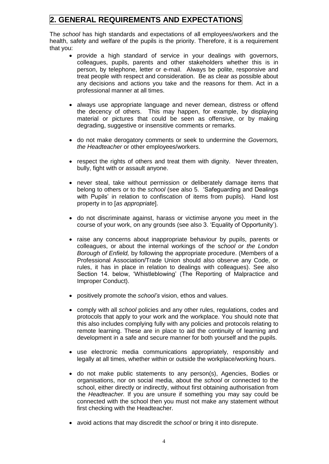# **2. GENERAL REQUIREMENTS AND EXPECTATIONS**

The *school* has high standards and expectations of all employees/workers and the health, safety and welfare of the pupils is the priority. Therefore, it is a requirement that you:

- provide a high standard of service in your dealings with governors, colleagues, pupils, parents and other stakeholders whether this is in person, by telephone, letter or e-mail. Always be polite, responsive and treat people with respect and consideration. Be as clear as possible about any decisions and actions you take and the reasons for them. Act in a professional manner at all times.
- always use appropriate language and never demean, distress or offend the decency of others. This may happen, for example, by displaying material or pictures that could be seen as offensive, or by making degrading, suggestive or insensitive comments or remarks.
- do not make derogatory comments or seek to undermine the *Governors, the Headteacher* or other employees/workers.
- respect the rights of others and treat them with dignity. Never threaten, bully, fight with or assault anyone.
- never steal, take without permission or deliberately damage items that belong to others or to the *school* (see also 5. 'Safeguarding and Dealings with Pupils' in relation to confiscation of items from pupils). Hand lost property in to [*as appropriate*].
- do not discriminate against, harass or victimise anyone you meet in the course of your work, on any grounds (see also 3. 'Equality of Opportunity').
- raise any concerns about inappropriate behaviour by pupils, parents or colleagues, or about the internal workings of the s*chool or the London Borough of Enfield,* by following the appropriate procedure. (Members of a Professional Association/Trade Union should also observe any Code, or rules, it has in place in relation to dealings with colleagues). See also Section 14. below, 'Whistleblowing' (The Reporting of Malpractice and Improper Conduct).
- positively promote the *school's* vision, ethos and values.
- comply with all *school* policies and any other rules, regulations, codes and protocols that apply to your work and the workplace. You should note that this also includes complying fully with any policies and protocols relating to remote learning. These are in place to aid the continuity of learning and development in a safe and secure manner for both yourself and the pupils.
- use electronic media communications appropriately, responsibly and legally at all times, whether within or outside the workplace/working hours.
- do not make public statements to any person(s), Agencies, Bodies or organisations, nor on social media, about the *school* or connected to the school, either directly or indirectly, without first obtaining authorisation from the *Headteacher.* If you are unsure if something you may say could be connected with the school then you must not make any statement without first checking with the Headteacher.
- avoid actions that may discredit the *school* or bring it into disrepute.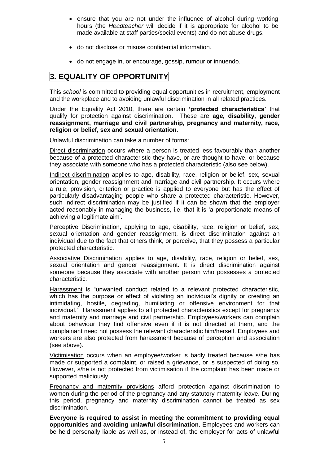- ensure that you are not under the influence of alcohol during working hours (the *Headteacher* will decide if it is appropriate for alcohol to be made available at staff parties/social events) and do not abuse drugs.
- do not disclose or misuse confidential information.
- do not engage in, or encourage, gossip, rumour or innuendo.

### **3. EQUALITY OF OPPORTUNITY**

This *school* is committed to providing equal opportunities in recruitment, employment and the workplace and to avoiding unlawful discrimination in all related practices.

Under the Equality Act 2010, there are certain **'protected characteristics'** that qualify for protection against discrimination. These are **age, disability, gender reassignment, marriage and civil partnership, pregnancy and maternity, race, religion or belief, sex and sexual orientation.**

Unlawful discrimination can take a number of forms:

Direct discrimination occurs where a person is treated less favourably than another because of a protected characteristic they have, or are thought to have, or because they associate with someone who has a protected characteristic (also see below).

Indirect discrimination applies to age, disability, race, religion or belief, sex, sexual orientation, gender reassignment and marriage and civil partnership. It occurs where a rule, provision, criterion or practice is applied to everyone but has the effect of particularly disadvantaging people who share a protected characteristic. However, such indirect discrimination may be justified if it can be shown that the employer acted reasonably in managing the business, i.e. that it is 'a proportionate means of achieving a legitimate aim'.

Perceptive Discrimination, applying to age, disability, race, religion or belief, sex, sexual orientation and gender reassignment, is direct discrimination against an individual due to the fact that others think, or perceive, that they possess a particular protected characteristic.

Associative Discrimination applies to age, disability, race, religion or belief, sex, sexual orientation and gender reassignment. It is direct discrimination against someone because they associate with another person who possesses a protected characteristic.

Harassment is "unwanted conduct related to a relevant protected characteristic, which has the purpose or effect of violating an individual's dignity or creating an intimidating, hostile, degrading, humiliating or offensive environment for that individual." Harassment applies to all protected characteristics except for pregnancy and maternity and marriage and civil partnership. Employees/workers can complain about behaviour they find offensive even if it is not directed at them, and the complainant need not possess the relevant characteristic him/herself. Employees and workers are also protected from harassment because of perception and association (see above).

Victimisation occurs when an employee/worker is badly treated because s/he has made or supported a complaint, or raised a grievance, or is suspected of doing so. However, s/he is not protected from victimisation if the complaint has been made or supported maliciously.

Pregnancy and maternity provisions afford protection against discrimination to women during the period of the pregnancy and any statutory maternity leave. During this period, pregnancy and maternity discrimination cannot be treated as sex discrimination.

**Everyone is required to assist in meeting the commitment to providing equal opportunities and avoiding unlawful discrimination.** Employees and workers can be held personally liable as well as, or instead of, the employer for acts of unlawful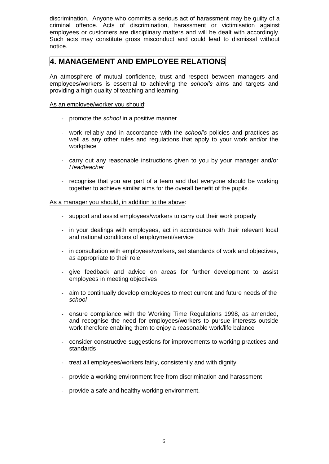discrimination. Anyone who commits a serious act of harassment may be guilty of a criminal offence. Acts of discrimination, harassment or victimisation against employees or customers are disciplinary matters and will be dealt with accordingly. Such acts may constitute gross misconduct and could lead to dismissal without notice.

### **4. MANAGEMENT AND EMPLOYEE RELATIONS**

An atmosphere of mutual confidence, trust and respect between managers and employees/workers is essential to achieving the *school's* aims and targets and providing a high quality of teaching and learning.

#### As an employee/worker you should:

- promote the *school* in a positive manner
- work reliably and in accordance with the *school's* policies and practices as well as any other rules and regulations that apply to your work and/or the workplace
- carry out any reasonable instructions given to you by your manager and/or *Headteacher*
- recognise that you are part of a team and that everyone should be working together to achieve similar aims for the overall benefit of the pupils.

#### As a manager you should, in addition to the above:

- support and assist employees/workers to carry out their work properly
- in your dealings with employees, act in accordance with their relevant local and national conditions of employment/service
- in consultation with employees/workers, set standards of work and objectives, as appropriate to their role
- give feedback and advice on areas for further development to assist employees in meeting objectives
- aim to continually develop employees to meet current and future needs of the *school*
- ensure compliance with the Working Time Regulations 1998, as amended, and recognise the need for employees/workers to pursue interests outside work therefore enabling them to enjoy a reasonable work/life balance
- consider constructive suggestions for improvements to working practices and standards
- treat all employees/workers fairly, consistently and with dignity
- provide a working environment free from discrimination and harassment
- provide a safe and healthy working environment.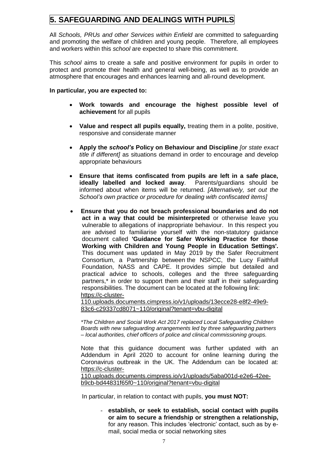# **5. SAFEGUARDING AND DEALINGS WITH PUPILS**

All *Schools, PRUs and other Services within Enfield* are committed to safeguarding and promoting the welfare of children and young people. Therefore, all employees and workers within this *school* are expected to share this commitment.

This *school* aims to create a safe and positive environment for pupils in order to protect and promote their health and general well-being, as well as to provide an atmosphere that encourages and enhances learning and all-round development.

#### **In particular, you are expected to:**

- **Work towards and encourage the highest possible level of achievement** for all pupils
- **Value and respect all pupils equally,** treating them in a polite, positive, responsive and considerate manner
- **Apply the** *school's* **Policy on Behaviour and Discipline** *[or state exact title if different]* as situations demand in order to encourage and develop appropriate behaviours
- **Ensure that items confiscated from pupils are left in a safe place, ideally labelled and locked away**. Parents/guardians should be informed about when items will be returned. *[Alternatively, set out the School's own practice or procedure for dealing with confiscated items]*
- **Ensure that you do not breach professional boundaries and do not act in a way that could be misinterpreted** or otherwise leave you vulnerable to allegations of inappropriate behaviour. In this respect you are advised to familiarise yourself with the non-statutory guidance document called **'Guidance for Safer Working Practice for those Working with Children and Young People in Education Settings'.**  This document was updated in May 2019 by the Safer Recruitment Consortium, a Partnership between the NSPCC, the Lucy Faithfull Foundation, NASS and CAPE. It provides simple but detailed and practical advice to schools, colleges and the three safeguarding partners,\* in order to support them and their staff in their safeguarding responsibilities. The document can be located at the following link: [https://c-cluster-](https://c-cluster-110.uploads.documents.cimpress.io/v1/uploads/13ecce28-e8f2-49e9-83c6-c29337cd8071~110/original?tenant=vbu-digital)

[110.uploads.documents.cimpress.io/v1/uploads/13ecce28-e8f2-49e9-](https://c-cluster-110.uploads.documents.cimpress.io/v1/uploads/13ecce28-e8f2-49e9-83c6-c29337cd8071~110/original?tenant=vbu-digital) [83c6-c29337cd8071~110/original?tenant=vbu-digital](https://c-cluster-110.uploads.documents.cimpress.io/v1/uploads/13ecce28-e8f2-49e9-83c6-c29337cd8071~110/original?tenant=vbu-digital)

*\*The Children and Social Work Act 2017 replaced Local Safeguarding Children Boards with new safeguarding arrangements led by three safeguarding partners – local authorities, chief officers of police and clinical commissioning groups.*

Note that this guidance document was further updated with an Addendum in April 2020 to account for online learning during the Coronavirus outbreak in the UK. The Addendum can be located at: [https://c-cluster-](https://c-cluster-110.uploads.documents.cimpress.io/v1/uploads/5aba001d-e2e6-42ee-b9cb-bd44831f65f0~110/original?tenant=vbu-digital)

[110.uploads.documents.cimpress.io/v1/uploads/5aba001d-e2e6-42ee](https://c-cluster-110.uploads.documents.cimpress.io/v1/uploads/5aba001d-e2e6-42ee-b9cb-bd44831f65f0~110/original?tenant=vbu-digital)[b9cb-bd44831f65f0~110/original?tenant=vbu-digital](https://c-cluster-110.uploads.documents.cimpress.io/v1/uploads/5aba001d-e2e6-42ee-b9cb-bd44831f65f0~110/original?tenant=vbu-digital)

In particular, in relation to contact with pupils, **you must NOT:**

- **establish, or seek to establish, social contact with pupils or aim to secure a friendship or strengthen a relationship,** for any reason. This includes 'electronic' contact, such as by email, social media or social networking sites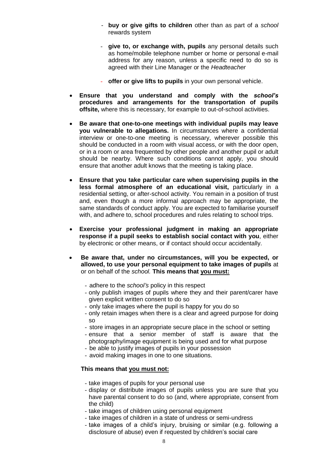- **buy or give gifts to children** other than as part of a *school* rewards system
- **give to, or exchange with, pupils** any personal details such as home/mobile telephone number or home or personal e-mail address for any reason, unless a specific need to do so is agreed with their Line Manager or the *Headteacher*
- **offer or give lifts to pupils** in your own personal vehicle.
- **Ensure that you understand and comply with the** *school's*  **procedures and arrangements for the transportation of pupils offsite,** where this is necessary, for example to out-of-school activities.
- **Be aware that one-to-one meetings with individual pupils may leave you vulnerable to allegations.** In circumstances where a confidential interview or one-to-one meeting is necessary, wherever possible this should be conducted in a room with visual access, or with the door open, or in a room or area frequented by other people and another pupil or adult should be nearby. Where such conditions cannot apply, you should ensure that another adult knows that the meeting is taking place.
- **Ensure that you take particular care when supervising pupils in the less formal atmosphere of an educational visit,** particularly in a residential setting, or after-school activity. You remain in a position of trust and, even though a more informal approach may be appropriate, the same standards of conduct apply. You are expected to familiarise yourself with, and adhere to, school procedures and rules relating to school trips.
- **Exercise your professional judgment in making an appropriate response if a pupil seeks to establish social contact with you**, either by electronic or other means, or if contact should occur accidentally.
- **Be aware that, under no circumstances, will you be expected, or allowed, to use your personal equipment to take images of pupils** at or on behalf of the *school.* **This means that you must:**
	- adhere to the *school's* policy in this respect
	- only publish images of pupils where they and their parent/carer have given explicit written consent to do so
	- only take images where the pupil is happy for you do so
	- only retain images when there is a clear and agreed purpose for doing so
	- store images in an appropriate secure place in the school or setting
	- ensure that a senior member of staff is aware that the photography/image equipment is being used and for what purpose
	- be able to justify images of pupils in your possession
	- avoid making images in one to one situations.

### **This means that you must not:**

- take images of pupils for your personal use
- display or distribute images of pupils unless you are sure that you have parental consent to do so (and, where appropriate, consent from the child)
- take images of children using personal equipment
- take images of children in a state of undress or semi-undress
- take images of a child's injury, bruising or similar (e.g. following a disclosure of abuse) even if requested by children's social care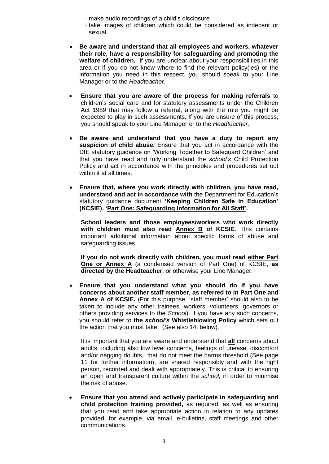- make audio recordings of a child's disclosure
- take images of children which could be considered as indecent or sexual.
- **Be aware and understand that all employees and workers, whatever their role, have a responsibility for safeguarding and promoting the welfare of children.** If you are unclear about your responsibilities in this area or if you do not know where to find the relevant policy(ies) or the information you need in this respect, you should speak to your Line Manager or to the *Headteacher*.
- **Ensure that you are aware of the process for making referrals** to children's social care and for statutory assessments under the Children Act 1989 that may follow a referral, along with the role you might be expected to play in such assessments. If you are unsure of this process, you should speak to your Line Manager or to the *Headteacher.*
- **Be aware and understand that you have a duty to report any suspicion of child abuse.** Ensure that you act in accordance with the DfE statutory guidance on 'Working Together to Safeguard Children' and that you have read and fully understand the *school's* Child Protection Policy and act in accordance with the principles and procedures set out within it at all times.
- **Ensure that, where you work directly with children, you have read, understand and act in accordance with** the Department for Education's statutory guidance document **'Keeping Children Safe in Education' (KCSIE), 'Part One: Safeguarding Information for All Staff'.**

**School leaders and those employees/workers who work directly with children must also read Annex B of KCSIE**. This contains important additional information about specific forms of abuse and safeguarding issues.

**If you do not work directly with children, you must read either Part One or Annex A** (a condensed version of Part One) of KCSIE, **as directed by the Headteacher**, or otherwise your Line Manager.

 **Ensure that you understand what you should do if you have concerns about another staff member, as referred to in Part One and Annex A of KCSIE.** (For this purpose, 'staff member' should also to be taken to include any other trainees, workers, volunteers, governors or others providing services to the *School*). If you have any such concerns, you should refer to **the** *school's* **Whistleblowing Policy** which sets out the action that you must take. (See also 14. below).

It is important that you are aware and understand that **all** concerns about adults, including also low level concerns, feelings of unease, discomfort and/or nagging doubts, that do not meet the harms threshold (See page 11 for further information), are shared responsibly and with the right person, recorded and dealt with appropriately. This is critical to ensuring an open and transparent culture within the *school,* in order to minimise the risk of abuse.

 **Ensure that you attend and actively participate in safeguarding and child protection training provided,** as required, as well as ensuring that you read and take appropriate action in relation to any updates provided, for example, via email, e-bulletins, staff meetings and other communications.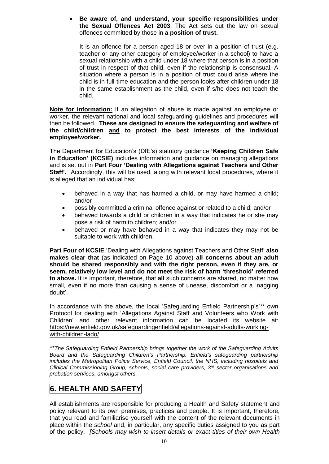**Be aware of, and understand, your specific responsibilities under the Sexual Offences Act 2003**. The Act sets out the law on sexual offences committed by those in **a position of trust.**

It is an offence for a person aged 18 or over in a position of trust (e.g. teacher or any other category of employee/worker in a school) to have a sexual relationship with a child under 18 where that person is in a position of trust in respect of that child, even if the relationship is consensual. A situation where a person is in a position of trust could arise where the child is in full-time education and the person looks after children under 18 in the same establishment as the child, even if s/he does not teach the child.

**Note for information:** If an allegation of abuse is made against an employee or worker, the relevant national and local safeguarding guidelines and procedures will then be followed. **These are designed to ensure the safeguarding and welfare of the child/children and to protect the best interests of the individual employee/worker.** 

The Department for Education's (DfE's) statutory guidance **'Keeping Children Safe in Education' (KCSIE)** includes information and guidance on managing allegations and is set out in **Part Four 'Dealing with Allegations against Teachers and Other Staff'.** Accordingly, this will be used, along with relevant local procedures, where it is alleged that an individual has:

- behaved in a way that has harmed a child, or may have harmed a child; and/or
- possibly committed a criminal offence against or related to a child; and/or
- behaved towards a child or children in a way that indicates he or she may pose a risk of harm to children; and/or
- behaved or may have behaved in a way that indicates they may not be suitable to work with children.

**Part Four of KCSIE** 'Dealing with Allegations against Teachers and Other Staff' **also makes clear that** (as indicated on Page 10 above) **all concerns about an adult should be shared responsibly and with the right person, even if they are, or seem, relatively low level and do not meet the risk of harm 'threshold' referred to above.** It is important, therefore, that **all** such concerns are shared, no matter how small, even if no more than causing a sense of unease, discomfort or a 'nagging doubt'.

In accordance with the above, the local 'Safeguarding Enfield Partnership's'*\*\** own Protocol for dealing with 'Allegations Against Staff and Volunteers who Work with Children' and other relevant information can be located its website at: [https://new.enfield.gov.uk/safeguardingenfield/allegations-against-adults-working](https://new.enfield.gov.uk/safeguardingenfield/allegations-against-adults-working-with-children-lado/)[with-children-lado/](https://new.enfield.gov.uk/safeguardingenfield/allegations-against-adults-working-with-children-lado/)

*\*\*The Safeguarding Enfield Partnership brings together the work of the Safeguarding Adults*  Board and the Safeguarding Children's Partnership. Enfield's safeguarding partnership *includes the Metropolitan Police Service, Enfield Council, the NHS, including hospitals and Clinical Commissioning Group, schools, social care providers, 3rd sector organisations and probation services, amongst others.*

# **6. HEALTH AND SAFETY**

All establishments are responsible for producing a Health and Safety statement and policy relevant to its own premises, practices and people. It is important, therefore, that you read and familiarise yourself with the content of the relevant documents in place within the *school* and, in particular, any specific duties assigned to you as part of the policy. *[Schools may wish to insert details or exact titles of their own Health*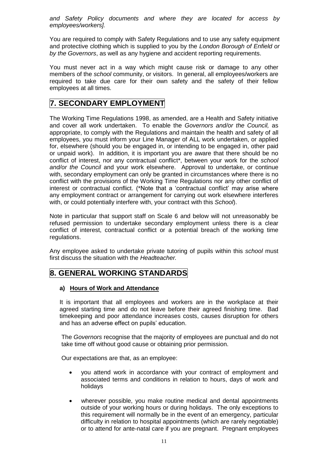*and Safety Policy documents and where they are located for access by employees/workers].*

You are required to comply with Safety Regulations and to use any safety equipment and protective clothing which is supplied to you by the *London Borough of Enfield or by the Governors*, as well as any hygiene and accident reporting requirements.

You must never act in a way which might cause risk or damage to any other members of the *school* community, or visitors. In general, all employees/workers are required to take due care for their own safety and the safety of their fellow employees at all times.

### **7. SECONDARY EMPLOYMENT**

The Working Time Regulations 1998, as amended, are a Health and Safety initiative and cover all work undertaken. To enable the *Governors and/or the Council,* as appropriate, to comply with the Regulations and maintain the health and safety of all employees, you must inform your Line Manager of ALL work undertaken, or applied for, elsewhere (should you be engaged in, or intending to be engaged in, other paid or unpaid work). In addition, it is important you are aware that there should be no conflict of interest, nor any contractual conflict\*, between your work for the *school and/or the Council* and your work elsewhere. Approval to undertake, or continue with, secondary employment can only be granted in circumstances where there is no conflict with the provisions of the Working Time Regulations nor any other conflict of interest or contractual conflict. (\*Note that a 'contractual conflict' may arise where any employment contract or arrangement for carrying out work elsewhere interferes with, or could potentially interfere with, your contract with this *School*).

Note in particular that support staff on Scale 6 and below will not unreasonably be refused permission to undertake secondary employment unless there is a clear conflict of interest, contractual conflict or a potential breach of the working time regulations.

Any employee asked to undertake private tutoring of pupils within this *school* must first discuss the situation with the *Headteacher.*

### **8. GENERAL WORKING STANDARDS**

### **a) Hours of Work and Attendance**

It is important that all employees and workers are in the workplace at their agreed starting time and do not leave before their agreed finishing time. Bad timekeeping and poor attendance increases costs, causes disruption for others and has an adverse effect on pupils' education.

The *Governors* recognise that the majority of employees are punctual and do not take time off without good cause or obtaining prior permission.

Our expectations are that, as an employee:

- you attend work in accordance with your contract of employment and associated terms and conditions in relation to hours, days of work and holidays
- wherever possible, you make routine medical and dental appointments outside of your working hours or during holidays. The only exceptions to this requirement will normally be in the event of an emergency, particular difficulty in relation to hospital appointments (which are rarely negotiable) or to attend for ante-natal care if you are pregnant. Pregnant employees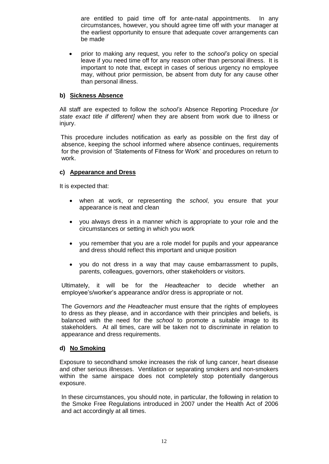are entitled to paid time off for ante-natal appointments. In any circumstances, however, you should agree time off with your manager at the earliest opportunity to ensure that adequate cover arrangements can be made

 prior to making any request, you refer to the *school's* policy on special leave if you need time off for any reason other than personal illness. It is important to note that, except in cases of serious urgency no employee may, without prior permission, be absent from duty for any cause other than personal illness.

### **b) Sickness Absence**

All staff are expected to follow the *school's* Absence Reporting Procedure *[or state exact title if different]* when they are absent from work due to illness or injury.

 This procedure includes notification as early as possible on the first day of absence, keeping the school informed where absence continues, requirements for the provision of 'Statements of Fitness for Work' and procedures on return to work.

### **c) Appearance and Dress**

It is expected that:

- when at work, or representing the *school*, you ensure that your appearance is neat and clean
- you always dress in a manner which is appropriate to your role and the circumstances or setting in which you work
- you remember that you are a role model for pupils and your appearance and dress should reflect this important and unique position
- you do not dress in a way that may cause embarrassment to pupils, parents, colleagues, governors, other stakeholders or visitors.

Ultimately, it will be for the *Headteacher* to decide whether an employee's/worker's appearance and/or dress is appropriate or not.

The *Governors and the Headteacher* must ensure that the rights of employees to dress as they please, and in accordance with their principles and beliefs, is balanced with the need for the *school* to promote a suitable image to its stakeholders. At all times, care will be taken not to discriminate in relation to appearance and dress requirements.

### **d) No Smoking**

Exposure to secondhand smoke increases the risk of lung cancer, heart disease and other serious illnesses. Ventilation or separating smokers and non-smokers within the same airspace does not completely stop potentially dangerous exposure.

In these circumstances, you should note, in particular, the following in relation to the Smoke Free Regulations introduced in 2007 under the Health Act of 2006 and act accordingly at all times.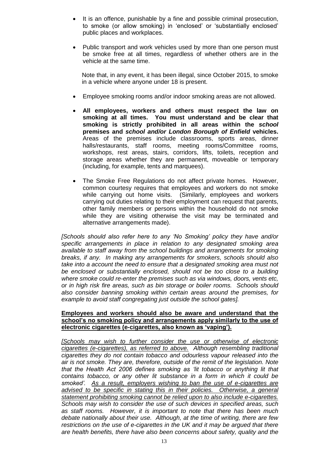- It is an offence, punishable by a fine and possible criminal prosecution, to smoke (or allow smoking) in 'enclosed' or 'substantially enclosed' public places and workplaces.
- Public transport and work vehicles used by more than one person must be smoke free at all times, regardless of whether others are in the vehicle at the same time.

Note that, in any event, it has been illegal, since October 2015, to smoke in a vehicle where anyone under 18 is present.

- Employee smoking rooms and/or indoor smoking areas are not allowed.
- **All employees, workers and others must respect the law on smoking at all times. You must understand and be clear that smoking is strictly prohibited in all areas within the** *school* **premises and** *school and/or London Borough of Enfield* **vehicles.** Areas of the premises include classrooms, sports areas, dinner halls/restaurants, staff rooms, meeting rooms/Committee rooms, workshops, rest areas, stairs, corridors, lifts, toilets, reception and storage areas whether they are permanent, moveable or temporary (including, for example, tents and marquees).
- The Smoke Free Regulations do not affect private homes. However, common courtesy requires that employees and workers do not smoke while carrying out home visits. (Similarly, employees and workers carrying out duties relating to their employment can request that parents, other family members or persons within the household do not smoke while they are visiting otherwise the visit may be terminated and alternative arrangements made).

*[Schools should also refer here to any 'No Smoking' policy they have and/or specific arrangements in place in relation to any designated smoking area available to staff away from the school buildings and arrangements for smoking breaks, if any. In making any arrangements for smokers, schools should also take into a account the need to ensure that a designated smoking area must not be enclosed or substantially enclosed, should not be too close to a building where smoke could re-enter the premises such as via windows, doors, vents etc, or in high risk fire areas, such as bin storage or boiler rooms. Schools should also consider banning smoking within certain areas around the premises, for example to avoid staff congregating just outside the school gates].*

#### **Employees and workers should also be aware and understand that the school's no smoking policy and arrangements apply similarly to the use of electronic cigarettes (e-cigarettes, also known as 'vaping').**

*[Schools may wish to further consider the use or otherwise of electronic cigarettes (e-cigarettes), as referred to above. Although resembling traditional cigarettes they do not contain tobacco and odourless vapour released into the air is not smoke. They are, therefore, outside of the remit of the legislation. Note that the Health Act 2006 defines smoking as 'lit tobacco or anything lit that contains tobacco, or any other lit substance in a form in which it could be smoked'. As a result, employers wishing to ban the use of e-cigarettes are advised to be specific in stating this in their policies. Otherwise, a general statement prohibiting smoking cannot be relied upon to also include e-cigarettes. Schools may wish to consider the use of such devices in specified areas, such as staff rooms. However, it is important to note that there has been much debate nationally about their use. Although, at the time of writing, there are few restrictions on the use of e-cigarettes in the UK and it may be argued that there are health benefits, there have also been concerns about safety, quality and the*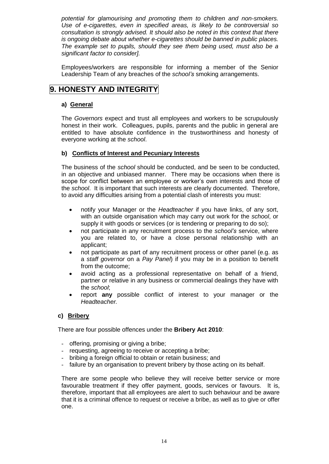*potential for glamourising and promoting them to children and non-smokers. Use of e-cigarettes, even in specified areas, is likely to be controversial so consultation is strongly advised. It should also be noted in this context that there is ongoing debate about whether e-cigarettes should be banned in public places. The example set to pupils, should they see them being used, must also be a significant factor to consider].*

Employees/workers are responsible for informing a member of the Senior Leadership Team of any breaches of the *school's* smoking arrangements.

# **9. HONESTY AND INTEGRITY**

### **a) General**

The *Governors* expect and trust all employees and workers to be scrupulously honest in their work. Colleagues, pupils, parents and the public in general are entitled to have absolute confidence in the trustworthiness and honesty of everyone working at the *school*.

### **b) Conflicts of Interest and Pecuniary Interests**

The business of the *school* should be conducted, and be seen to be conducted, in an objective and unbiased manner. There may be occasions when there is scope for conflict between an employee or worker's own interests and those of the *school*. It is important that such interests are clearly documented. Therefore, to avoid any difficulties arising from a potential clash of interests you must:

- notify your Manager or the *Headteacher* if you have links, of any sort, with an outside organisation which may carry out work for the *school*, or supply it with goods or services (or is tendering or preparing to do so);
- not participate in any recruitment process to the *school's* service, where you are related to, or have a close personal relationship with an applicant;
- not participate as part of any recruitment process or other panel (e.g. as a *staff governor* on a *Pay Panel*) if you may be in a position to benefit from the outcome;
- avoid acting as a professional representative on behalf of a friend, partner or relative in any business or commercial dealings they have with the *school*;
- report **any** possible conflict of interest to your manager or the *Headteacher.*

### **c) Bribery**

There are four possible offences under the **Bribery Act 2010**:

- offering, promising or giving a bribe;
- requesting, agreeing to receive or accepting a bribe;
- bribing a foreign official to obtain or retain business; and
- failure by an organisation to prevent bribery by those acting on its behalf.

There are some people who believe they will receive better service or more favourable treatment if they offer payment, goods, services or favours. It is, therefore, important that all employees are alert to such behaviour and be aware that it is a criminal offence to request or receive a bribe, as well as to give or offer one.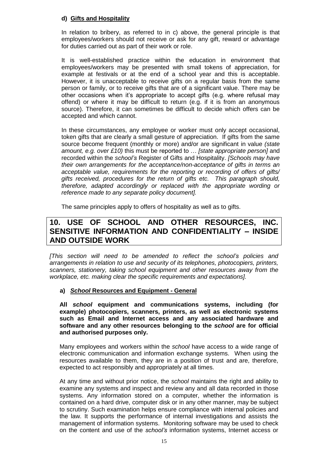### **d) Gifts and Hospitality**

In relation to bribery, as referred to in c) above, the general principle is that employees/workers should not receive or ask for any gift, reward or advantage for duties carried out as part of their work or role.

It is well-established practice within the education in environment that employees/workers may be presented with small tokens of appreciation, for example at festivals or at the end of a school year and this is acceptable. However, it is unacceptable to receive gifts on a regular basis from the same person or family, or to receive gifts that are of a significant value. There may be other occasions when it's appropriate to accept gifts (e.g. where refusal may offend) or where it may be difficult to return (e.g. if it is from an anonymous source). Therefore, it can sometimes be difficult to decide which offers can be accepted and which cannot.

In these circumstances, any employee or worker must only accept occasional, token gifts that are clearly a small gesture of appreciation. If gifts from the same source become frequent (monthly or more) and/or are significant in value *(state amount, e.g. over £10)* this must be reported to … *[state appropriate person]* and recorded within the *school's* Register of Gifts and Hospitality. *[Schools may have their own arrangements for the acceptance/non-acceptance of gifts in terms an acceptable value, requirements for the reporting or recording of offers of gifts/ gifts received, procedures for the return of gifts etc. This paragraph should, therefore, adapted accordingly or replaced with the appropriate wording or reference made to any separate policy document].*

The same principles apply to offers of hospitality as well as to gifts.

### **10. USE OF SCHOOL AND OTHER RESOURCES, INC. SENSITIVE INFORMATION AND CONFIDENTIALITY – INSIDE AND OUTSIDE WORK**

*[This section will need to be amended to reflect the school's policies and arrangements in relation to use and security of its telephones, photocopiers, printers, scanners, stationery, taking school equipment and other resources away from the workplace, etc. making clear the specific requirements and expectations].*

### **a)** *School* **Resources and Equipment - General**

**All** *school* **equipment and communications systems, including (for example) photocopiers, scanners, printers, as well as electronic systems such as Email and Internet access and any associated hardware and software and any other resources belonging to the** *school* **are for official and authorised purposes only.**

Many employees and workers within the *school* have access to a wide range of electronic communication and information exchange systems. When using the resources available to them, they are in a position of trust and are, therefore, expected to act responsibly and appropriately at all times.

At any time and without prior notice, the *school* maintains the right and ability to examine any systems and inspect and review any and all data recorded in those systems. Any information stored on a computer, whether the information is contained on a hard drive, computer disk or in any other manner, may be subject to scrutiny. Such examination helps ensure compliance with internal policies and the law. It supports the performance of internal investigations and assists the management of information systems. Monitoring software may be used to check on the content and use of the *school's* information systems, Internet access or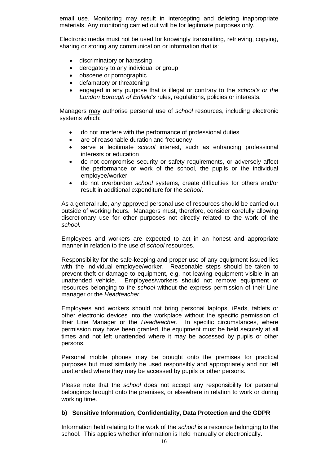email use. Monitoring may result in intercepting and deleting inappropriate materials. Any monitoring carried out will be for legitimate purposes only.

Electronic media must not be used for knowingly transmitting, retrieving, copying, sharing or storing any communication or information that is:

- discriminatory or harassing
- derogatory to any individual or group
- obscene or pornographic
- defamatory or threatening
- engaged in any purpose that is illegal or contrary to the *school's or the London Borough of Enfield's* rules, regulations, policies or interests.

Managers may authorise personal use of *school* resources, including electronic systems which:

- do not interfere with the performance of professional duties
- are of reasonable duration and frequency
- serve a legitimate *school* interest, such as enhancing professional interests or education
- do not compromise security or safety requirements, or adversely affect the performance or work of the school, the pupils or the individual employee/worker
- do not overburden *school* systems, create difficulties for others and/or result in additional expenditure for the *school*.

As a general rule, any approved personal use of resources should be carried out outside of working hours. Managers must, therefore, consider carefully allowing discretionary use for other purposes not directly related to the work of the *school.*

Employees and workers are expected to act in an honest and appropriate manner in relation to the use of *school* resources.

Responsibility for the safe-keeping and proper use of any equipment issued lies with the individual employee/worker. Reasonable steps should be taken to prevent theft or damage to equipment, e.g. not leaving equipment visible in an unattended vehicle. Employees/workers should not remove equipment or resources belonging to the *school* without the express permission of their Line manager or the *Headteacher.*

Employees and workers should not bring personal laptops, iPads, tablets or other electronic devices into the workplace without the specific permission of their Line Manager or the *Headteacher.* In specific circumstances, where permission may have been granted, the equipment must be held securely at all times and not left unattended where it may be accessed by pupils or other persons.

Personal mobile phones may be brought onto the premises for practical purposes but must similarly be used responsibly and appropriately and not left unattended where they may be accessed by pupils or other persons.

Please note that the *school* does not accept any responsibility for personal belongings brought onto the premises, or elsewhere in relation to work or during working time.

#### **b) Sensitive Information, Confidentiality, Data Protection and the GDPR**

Information held relating to the work of the *school* is a resource belonging to the school. This applies whether information is held manually or electronically.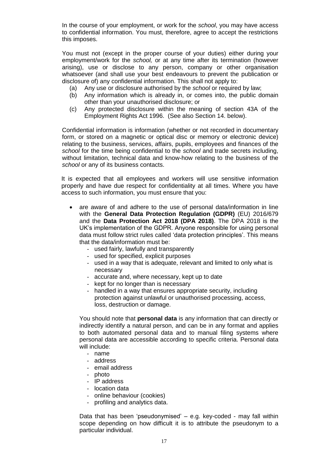In the course of your employment, or work for the *school*, you may have access to confidential information. You must, therefore, agree to accept the restrictions this imposes.

You must not (except in the proper course of your duties) either during your employment/work for the *school,* or at any time after its termination (however arising), use or disclose to any person, company or other organisation whatsoever (and shall use your best endeavours to prevent the publication or disclosure of) any confidential information. This shall not apply to:

- (a) Any use or disclosure authorised by the *school* or required by law;
- (b) Any information which is already in, or comes into, the public domain other than your unauthorised disclosure; or
- (c) Any protected disclosure within the meaning of section 43A of the Employment Rights Act 1996. (See also Section 14. below).

Confidential information is information (whether or not recorded in documentary form, or stored on a magnetic or optical disc or memory or electronic device) relating to the business, services, affairs, pupils, employees and finances of the *school* for the time being confidential to the *school* and trade secrets including, without limitation, technical data and know-how relating to the business of the *school* or any of its business contacts.

It is expected that all employees and workers will use sensitive information properly and have due respect for confidentiality at all times. Where you have access to such information, you must ensure that you:

- are aware of and adhere to the use of personal data/information in line with the **General Data Protection Regulation (GDPR)** (EU) 2016/679 and the **Data Protection Act 2018 (DPA 2018)**. The DPA 2018 is the UK's implementation of the GDPR. Anyone responsible for using personal data must follow strict rules called 'data protection principles'. This means that the data/information must be:
	- used fairly, lawfully and transparently
	- used for specified, explicit purposes
	- used in a way that is adequate, relevant and limited to only what is necessary
	- accurate and, where necessary, kept up to date
	- kept for no longer than is necessary
	- handled in a way that ensures appropriate security, including protection against unlawful or unauthorised processing, access, loss, destruction or damage.

You should note that **personal data** is any information that can directly or indirectly identify a natural person, and can be in any format and applies to both automated personal data and to manual filing systems where personal data are accessible according to specific criteria. Personal data will include:

- name
- address
- email address
- photo
- IP address
- location data
- online behaviour (cookies)
- profiling and analytics data.

Data that has been 'pseudonymised' – e.g. key-coded - may fall within scope depending on how difficult it is to attribute the pseudonym to a particular individual.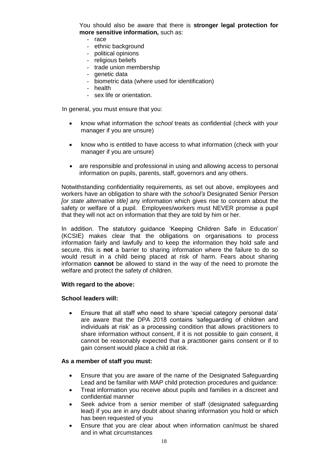You should also be aware that there is **stronger legal protection for more sensitive information,** such as:

- race
- ethnic background
- political opinions
- religious beliefs
- trade union membership
- genetic data
- biometric data (where used for identification)
- health
- sex life or orientation.

In general, you must ensure that you:

- know what information the *school* treats as confidential (check with your manager if you are unsure)
- know who is entitled to have access to what information (check with your manager if you are unsure)
- are responsible and professional in using and allowing access to personal information on pupils, parents, staff, governors and any others.

Notwithstanding confidentiality requirements, as set out above, employees and workers have an obligation to share with the *school's* Designated Senior Person *[or state alternative title]* any information which gives rise to concern about the safety or welfare of a pupil. Employees/workers must NEVER promise a pupil that they will not act on information that they are told by him or her.

In addition. The statutory guidance 'Keeping Children Safe in Education' (KCSIE) makes clear that the obligations on organisations to process information fairly and lawfully and to keep the information they hold safe and secure, this is **not** a barrier to sharing information where the failure to do so would result in a child being placed at risk of harm. Fears about sharing information **cannot** be allowed to stand in the way of the need to promote the welfare and protect the safety of children.

#### **With regard to the above:**

#### **School leaders will:**

 Ensure that all staff who need to share 'special category personal data' are aware that the DPA 2018 contains 'safeguarding of children and individuals at risk' as a processing condition that allows practitioners to share information without consent, if it is not possible to gain consent, it cannot be reasonably expected that a practitioner gains consent or if to gain consent would place a child at risk.

#### **As a member of staff you must:**

- Ensure that you are aware of the name of the Designated Safeguarding Lead and be familiar with MAP child protection procedures and guidance:
- Treat information you receive about pupils and families in a discreet and confidential manner
- Seek advice from a senior member of staff (designated safeguarding lead) if you are in any doubt about sharing information you hold or which has been requested of you
- Ensure that you are clear about when information can/must be shared and in what circumstances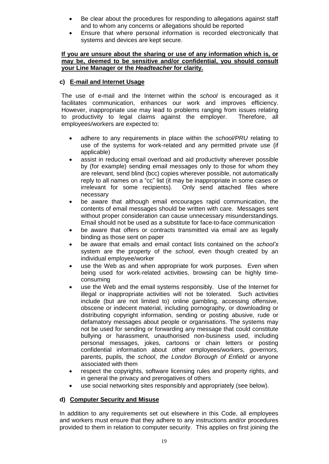- Be clear about the procedures for responding to allegations against staff and to whom any concerns or allegations should be reported
- Ensure that where personal information is recorded electronically that systems and devices are kept secure.

#### **If you are unsure about the sharing or use of any information which is, or may be, deemed to be sensitive and/or confidential, you should consult your Line Manager or the** *Headteacher* **for clarity.**

### **c) E-mail and Internet Usage**

The use of e-mail and the Internet within the *school* is encouraged as it facilitates communication, enhances our work and improves efficiency. However, inappropriate use may lead to problems ranging from issues relating to productivity to legal claims against the employer. Therefore, all employees/workers are expected to:

- adhere to any requirements in place within the *school/PRU* relating to use of the systems for work-related and any permitted private use (if applicable)
- assist in reducing email overload and aid productivity wherever possible by (for example) sending email messages only to those for whom they are relevant, send blind (bcc) copies wherever possible, not automatically reply to all names on a "cc" list (it may be inappropriate in some cases or irrelevant for some recipients). Only send attached files where necessary
- be aware that although email encourages rapid communication, the contents of email messages should be written with care. Messages sent without proper consideration can cause unnecessary misunderstandings. Email should not be used as a substitute for face-to-face communication
- be aware that offers or contracts transmitted via email are as legally binding as those sent on paper
- be aware that emails and email contact lists contained on the *school's* system are the property of the *school*, even though created by an individual employee/worker
- use the Web as and when appropriate for work purposes. Even when being used for work-related activities, browsing can be highly timeconsuming
- use the Web and the email systems responsibly. Use of the Internet for illegal or inappropriate activities will not be tolerated. Such activities include (but are not limited to) online gambling, accessing offensive, obscene or indecent material, including pornography, or downloading or distributing copyright information, sending or posting abusive, rude or defamatory messages about people or organisations. The systems may not be used for sending or forwarding any message that could constitute bullying or harassment, unauthorised non-business used, including personal messages, jokes, cartoons or chain letters or posting confidential information about other employees/workers, *governors,* parents, pupils, the *school*, *the London Borough of Enfield* or anyone associated with them
- respect the copyrights, software licensing rules and property rights, and in general the privacy and prerogatives of others
- use social networking sites responsibly and appropriately (see below).

### **d) Computer Security and Misuse**

In addition to any requirements set out elsewhere in this Code, all employees and workers must ensure that they adhere to any instructions and/or procedures provided to them in relation to computer security. This applies on first joining the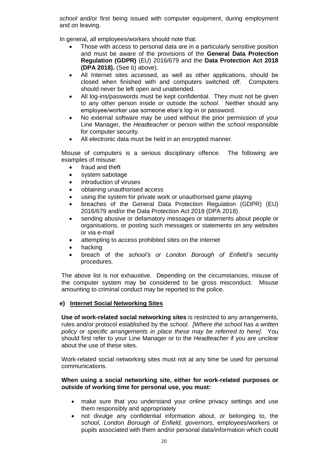*school* and/or first being issued with computer equipment, during employment and on leaving.

In general, all employees/workers should note that:

- Those with access to personal data are in a particularly sensitive position and must be aware of the provisions of the **General Data Protection Regulation (GDPR)** (EU) 2016/679 and the **Data Protection Act 2018 (DPA 2018).** (See b) above).
- All Internet sites accessed, as well as other applications, should be closed when finished with and computers switched off. Computers should never be left open and unattended.
- All log-ins/passwords must be kept confidential. They must not be given to any other person inside or outside the *school*. Neither should any employee/worker use someone else's log-in or password.
- No external software may be used without the prior permission of your Line Manager, the *Headteacher* or person within the *school* responsible for computer security.
- All electronic data must be held in an encrypted manner.

Misuse of computers is a serious disciplinary offence. The following are examples of misuse:

- fraud and theft
- system sabotage
- introduction of viruses
- obtaining unauthorised access
- using the system for private work or unauthorised game playing
- breaches of the General Data Protection Regulation (GDPR) (EU) 2016/679 and/or the Data Protection Act 2018 (DPA 2018).
- sending abusive or defamatory messages or statements about people or organisations, or posting such messages or statements on any websites or via e-mail
- attempting to access prohibited sites on the internet
- hacking
- breach of the *school's or London Borough of Enfield's* security procedures.

The above list is not exhaustive. Depending on the circumstances, misuse of the computer system may be considered to be gross misconduct. Misuse amounting to criminal conduct may be reported to the police.

### **e) Internet Social Networking Sites**

**Use of work-related social networking sites** is restricted to any arrangements, rules and/or protocol established by the *school*. *[Where the school has a written policy or specific arrangements in place these may be referred to here].* You should first refer to your Line Manager or to the *Headteacher* if you are unclear about the use of these sites.

Work-related social networking sites must not at any time be used for personal communications.

#### **When using a social networking site, either for work-related purposes or outside of working time for personal use, you must:**

- make sure that you understand your online privacy settings and use them responsibly and appropriately
- not divulge any confidential information about, or belonging to, the *school*, *London Borough of Enfield, governors,* employees/workers or pupils associated with them and/or personal data/information which could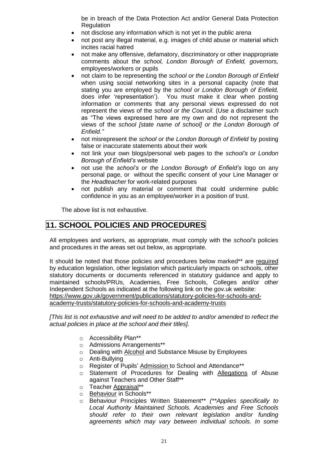be in breach of the Data Protection Act and/or General Data Protection **Regulation** 

- not disclose any information which is not yet in the public arena
- not post any illegal material, e.g. images of child abuse or material which incites racial hatred
- not make any offensive, defamatory, discriminatory or other inappropriate comments about the *school, London Borough of Enfield, governors,* employees/workers or pupils
- not claim to be representing the *school or the London Borough of Enfield* when using social networking sites in a personal capacity (note that stating you are employed by the *school or London Borough of Enfield,* does infer 'representation'). You must make it clear when posting information or comments that any personal views expressed do not represent the views of the *school or the Council*. (Use a disclaimer such as "The views expressed here are my own and do not represent the views of the *school [state name of school] or the London Borough of Enfield."*
- not misrepresent the *school or the London Borough of Enfield* by posting false or inaccurate statements about their work
- not link your own blogs/personal web pages to the *school's or London Borough of Enfield's* website
- not use the *school's or the London Borough of Enfield's* logo on any personal page, or without the specific consent of your Line Manager or the *Headteacher* for work-related purposes
- not publish any material or comment that could undermine public confidence in you as an employee/worker in a position of trust.

The above list is not exhaustive.

### **11. SCHOOL POLICIES AND PROCEDURES**

All employees and workers, as appropriate, must comply with the *school's* policies and procedures in the areas set out below, as appropriate.

It should be noted that those policies and procedures below marked\*\* are required by education legislation, other legislation which particularly impacts on schools, other statutory documents or documents referenced in statutory guidance and apply to maintained schools/PRUs, Academies, Free Schools, Colleges and/or other Independent Schools as indicated at the following link on the gov.uk website: [https://www.gov.uk/government/publications/statutory-policies-for-schools-and](https://www.gov.uk/government/publications/statutory-policies-for-schools-and-academy-trusts/statutory-policies-for-schools-and-academy-trusts)[academy-trusts/statutory-policies-for-schools-and-academy-trusts](https://www.gov.uk/government/publications/statutory-policies-for-schools-and-academy-trusts/statutory-policies-for-schools-and-academy-trusts)

*[This list is not exhaustive and will need to be added to and/or amended to reflect the actual policies in place at the school and their titles].*

- o Accessibility Plan\*\*
- o Admissions Arrangements\*\*
- o Dealing with Alcohol and Substance Misuse by Employees
- o Anti-Bullying
- o Register of Pupils' Admission to School and Attendance\*\*
- o Statement of Procedures for Dealing with Allegations of Abuse against Teachers and Other Staff\*\*
- o Teacher Appraisal\*\*
- o Behaviour in Schools\*\*
- o Behaviour Principles Written Statement\*\* *(\*\*Applies specifically to Local Authority Maintained Schools. Academies and Free Schools should refer to their own relevant legislation and/or funding agreements which may vary between individual schools. In some*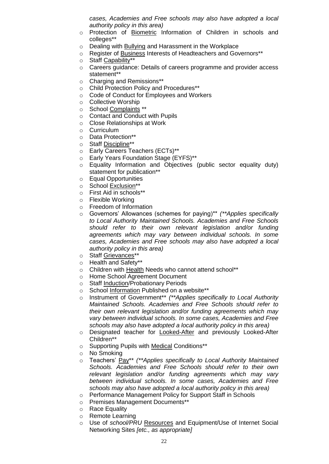*cases, Academies and Free schools may also have adopted a local authority policy in this area)*

- o Protection of Biometric Information of Children in schools and colleges\*\*
- o Dealing with Bullying and Harassment in the Workplace
- o Register of Business Interests of Headteachers and Governors\*\*
- o Staff Capability\*\*
- o Careers guidance: Details of careers programme and provider access statement\*\*
- o Charging and Remissions\*\*
- o Child Protection Policy and Procedures\*\*
- o Code of Conduct for Employees and Workers
- o Collective Worship
- o School Complaints \*\*
- o Contact and Conduct with Pupils
- o Close Relationships at Work
- o Curriculum
- o Data Protection\*\*
- o Staff Discipline\*\*
- o Early Careers Teachers (ECTs)\*\*
- o Early Years Foundation Stage (EYFS)\*\*
- o Equality Information and Objectives (public sector equality duty) statement for publication\*\*
- o Equal Opportunities
- o School Exclusion\*\*
- o First Aid in schools\*\*
- o Flexible Working
- o Freedom of Information
- o Governors' Allowances (schemes for paying)\*\* *(\*\*Applies specifically to Local Authority Maintained Schools. Academies and Free Schools should refer to their own relevant legislation and/or funding agreements which may vary between individual schools. In some cases, Academies and Free schools may also have adopted a local authority policy in this area)*
- o Staff Grievances\*\*
- o Health and Safety\*\*
- o Children with Health Needs who cannot attend school\*\*
- o Home School Agreement Document
- o Staff Induction/Probationary Periods
- o School Information Published on a website\*\*
- o Instrument of Government\*\* *(\*\*Applies specifically to Local Authority Maintained Schools. Academies and Free Schools should refer to their own relevant legislation and/or funding agreements which may vary between individual schools. In some cases, Academies and Free schools may also have adopted a local authority policy in this area)*
- o Designated teacher for Looked-After and previously Looked-After Children\*\*
- o Supporting Pupils with Medical Conditions\*\*
- o No Smoking
- o Teachers' Pay\*\* *(\*\*Applies specifically to Local Authority Maintained Schools. Academies and Free Schools should refer to their own relevant legislation and/or funding agreements which may vary between individual schools. In some cases, Academies and Free schools may also have adopted a local authority policy in this area)*
- o Performance Management Policy for Support Staff in Schools
- o Premises Management Documents\*\*
- o Race Equality
- o Remote Learning
- o Use of *school/PRU* Resources and Equipment/Use of Internet Social Networking Sites *[etc., as appropriate]*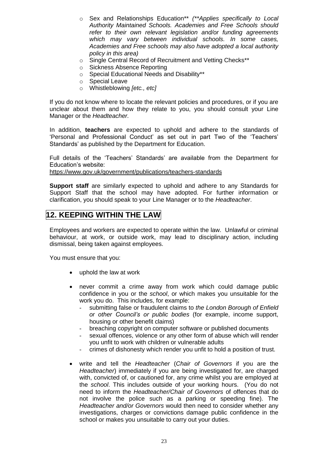- o Sex and Relationships Education\*\* *(\*\*Applies specifically to Local Authority Maintained Schools. Academies and Free Schools should refer to their own relevant legislation and/or funding agreements which may vary between individual schools. In some cases, Academies and Free schools may also have adopted a local authority policy in this area)*
- o Single Central Record of Recruitment and Vetting Checks\*\*
- o Sickness Absence Reporting
- o Special Educational Needs and Disability\*\*
- o Special Leave
- o Whistleblowing *[etc., etc]*

If you do not know where to locate the relevant policies and procedures, or if you are unclear about them and how they relate to you, you should consult your Line Manager or the *Headteacher.*

In addition, **teachers** are expected to uphold and adhere to the standards of 'Personal and Professional Conduct' as set out in part Two of the 'Teachers' Standards' as published by the Department for Education.

Full details of the 'Teachers' Standards' are available from the Department for Education's website:

<https://www.gov.uk/government/publications/teachers-standards>

**Support staff** are similarly expected to uphold and adhere to any Standards for Support Staff that the school may have adopted. For further information or clarification, you should speak to your Line Manager or to the *Headteacher*.

## **12. KEEPING WITHIN THE LAW**

Employees and workers are expected to operate within the law. Unlawful or criminal behaviour, at work, or outside work, may lead to disciplinary action, including dismissal, being taken against employees.

You must ensure that you:

- uphold the law at work
- never commit a crime away from work which could damage public confidence in you or the *school*, or which makes you unsuitable for the work you do. This includes, for example:
	- submitting false or fraudulent claims to *the London Borough of Enfield or other Council's or public bodies* (for example, income support, housing or other benefit claims)
	- breaching copyright on computer software or published documents
	- sexual offences, violence or any other form of abuse which will render you unfit to work with children or vulnerable adults
	- crimes of dishonesty which render you unfit to hold a position of trust.
- write and tell the *Headteacher* (*Chair of Governors* if you are the *Headteacher*) immediately if you are being investigated for, are charged with, convicted of, or cautioned for, any crime whilst you are employed at the *school*. This includes outside of your working hours. (You do not need to inform the *Headteacher/Chair of Governors* of offences that do not involve the police such as a parking or speeding fine). The *Headteacher and/or Governors* would then need to consider whether any investigations, charges or convictions damage public confidence in the school or makes you unsuitable to carry out your duties.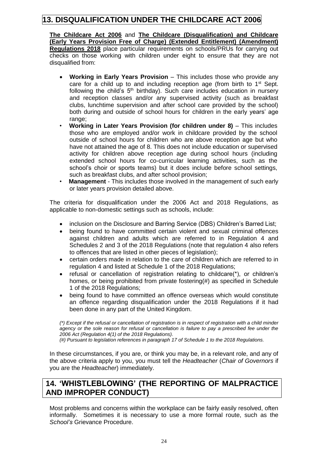# **13. DISQUALIFICATION UNDER THE CHILDCARE ACT 2006**

**The Childcare Act 2006** and **The Childcare (Disqualification) and Childcare (Early Years Provision Free of Charge) (Extended Entitlement) (Amendment) Regulations 2018** place particular requirements on schools/PRUs for carrying out checks on those working with children under eight to ensure that they are not disqualified from:

- **Working in Early Years Provision** This includes those who provide any care for a child up to and including reception age (from birth to  $1<sup>st</sup>$  Sept. following the child's  $5<sup>th</sup>$  birthday). Such care includes education in nursery and reception classes and/or any supervised activity (such as breakfast clubs, lunchtime supervision and after school care provided by the school) both during and outside of school hours for children in the early years' age range:
- **Working in Later Years Provision (for children under 8)** This includes those who are employed and/or work in childcare provided by the school outside of school hours for children who are above reception age but who have not attained the age of 8. This does not include education or supervised activity for children above reception age during school hours (including extended school hours for co-curricular learning activities, such as the school's choir or sports teams) but it does include before school settings, such as breakfast clubs, and after school provision;
- **Management**  This includes those involved in the management of such early or later years provision detailed above.

The criteria for disqualification under the 2006 Act and 2018 Regulations, as applicable to non-domestic settings such as schools, include:

- inclusion on the Disclosure and Barring Service (DBS) Children's Barred List;
- being found to have committed certain violent and sexual criminal offences against children and adults which are referred to in Regulation 4 and Schedules 2 and 3 of the 2018 Regulations (note that regulation 4 also refers to offences that are listed in other pieces of legislation);
- certain orders made in relation to the care of children which are referred to in regulation 4 and listed at Schedule 1 of the 2018 Regulations;
- refusal or cancellation of registration relating to childcare(\*), or children's homes, or being prohibited from private fostering(#) as specified in Schedule 1 of the 2018 Regulations;
- being found to have committed an offence overseas which would constitute an offence regarding disqualification under the 2018 Regulations if it had been done in any part of the United Kingdom.

*(\*) Except if the refusal or cancellation of registration is in respect of registration with a child minder*  agency or the sole reason for refusal or cancellation is failure to pay a prescribed fee under the *2006 Act (Regulation 4(1) of the 2018 Regulations). (#) Pursuant to legislation references in paragraph 17 of Schedule 1 to the 2018 Regulations.* 

In these circumstances, if you are, or think you may be, in a relevant role, and any of the above criteria apply to you, you must tell the *Headteacher* (*Chair of Governors* if you are the *Headteacher*) immediately.

### **14. 'WHISTLEBLOWING' (THE REPORTING OF MALPRACTICE AND IMPROPER CONDUCT)**

Most problems and concerns within the workplace can be fairly easily resolved, often informally. Sometimes it is necessary to use a more formal route, such as the *School's* Grievance Procedure.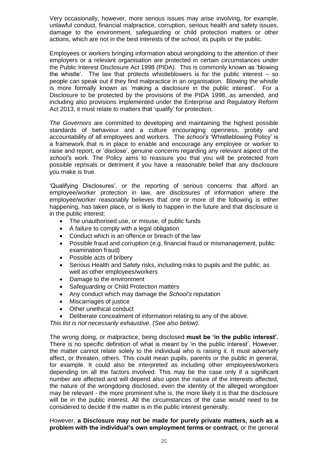Very occasionally, however, more serious issues may arise involving, for example, unlawful conduct, financial malpractice, corruption, serious health and safety issues, damage to the environment, safeguarding or child protection matters or other actions, which are not in the best interests of the *school*, its pupils or the public.

Employees or workers bringing information about wrongdoing to the attention of their employers or a relevant organisation are protected in certain circumstances under the Public Interest Disclosure Act 1998 (PIDA). This is commonly known as 'blowing the whistle'. The law that protects whistleblowers is for the public interest – so people can speak out if they find malpractice in an organisation. Blowing the whistle is more formally known as 'making a disclosure in the public interest'. For a Disclosure to be protected by the provisions of the PIDA 1998, as amended, and including also provisions implemented under the Enterprise and Regulatory Reform Act 2013, it must relate to matters that 'qualify' for protection.

*The Governors* are committed to developing and maintaining the highest possible standards of behaviour and a culture encouraging openness, probity and accountability of all employees and workers. The *school's* 'Whistleblowing Policy' is a framework that is in place to enable and encourage any employee or worker to raise and report, or 'disclose', genuine concerns regarding any relevant aspect of the *school's* work. The Policy aims to reassure you that you will be protected from possible reprisals or detriment if you have a reasonable belief that any disclosure you make is true.

'Qualifying Disclosures', or the reporting of serious concerns that afford an employee/worker protection in law, are disclosures of information where the employee/worker reasonably believes that one or more of the following is either happening, has taken place, or is likely to happen in the future and that disclosure is in the public interest:

- The unauthorised use, or misuse, of public funds
- A failure to comply with a legal obligation
- Conduct which is an offence or breach of the law
- Possible fraud and corruption (e.g. financial fraud or mismanagement, public examination fraud)
- Possible acts of bribery
- Serious Health and Safety risks, including risks to pupils and the public, as well as other employees/workers
- Damage to the environment
- Safeguarding or Child Protection matters
- Any conduct which may damage the *School's* reputation
- Miscarriages of justice
- Other unethical conduct
- Deliberate concealment of information relating to any of the above.

*This list is not necessarily exhaustive. (See also below).*

The wrong doing, or malpractice, being disclosed **must be 'in the public interest'.**  There is no specific definition of what is meant by 'in the public interest'. However, the matter cannot relate solely to the individual who is raising it. It must adversely affect, or threaten, others. This could mean pupils, parents or the public in general, for example. It could also be interpreted as including other employees/workers depending on all the factors involved. This may be the case only if a significant number are affected and will depend also upon the nature of the interests affected, the nature of the wrongdoing disclosed, even the identity of the alleged wrongdoer may be relevant - the more prominent s/he is, the more likely it is that the disclosure will be in the public interest. All the circumstances of the case would need to be considered to decide if the matter is in the public interest generally.

However, **a Disclosure may not be made for purely private matters, such as a problem with the individual's own employment terms or contract,** or the general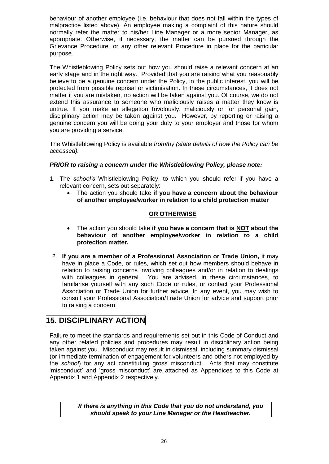behaviour of another employee (i.e. behaviour that does not fall within the types of malpractice listed above). An employee making a complaint of this nature should normally refer the matter to his/her Line Manager or a more senior Manager, as appropriate. Otherwise, if necessary, the matter can be pursued through the Grievance Procedure, or any other relevant Procedure in place for the particular purpose.

The Whistleblowing Policy sets out how you should raise a relevant concern at an early stage and in the right way. Provided that you are raising what you reasonably believe to be a genuine concern under the Policy, in the public interest, you will be protected from possible reprisal or victimisation. In these circumstances, it does not matter if you are mistaken, no action will be taken against you. Of course, we do not extend this assurance to someone who maliciously raises a matter they know is untrue. If you make an allegation frivolously, maliciously or for personal gain, disciplinary action may be taken against you. However, by reporting or raising a genuine concern you will be doing your duty to your employer and those for whom you are providing a service.

The Whistleblowing Policy is available *from/by (state details of how the Policy can be accessed).*

### *PRIOR to raising a concern under the Whistleblowing Policy, please note:*

- 1. The *school's* Whistleblowing Policy, to which you should refer if you have a relevant concern, sets out separately:
	- The action you should take **if you have a concern about the behaviour of another employee/worker in relation to a child protection matter**

### **OR OTHERWISE**

- The action you should take **if you have a concern that is NOT about the behaviour of another employee/worker in relation to a child protection matter.**
- 2. **If you are a member of a Professional Association or Trade Union,** it may have in place a Code, or rules, which set out how members should behave in relation to raising concerns involving colleagues and/or in relation to dealings with colleagues in general. You are advised, in these circumstances, to familarise yourself with any such Code or rules, or contact your Professional Association or Trade Union for further advice. In any event, you may wish to consult your Professional Association/Trade Union for advice and support prior to raising a concern.

### **15. DISCIPLINARY ACTION**

Failure to meet the standards and requirements set out in this Code of Conduct and any other related policies and procedures may result in disciplinary action being taken against you. Misconduct may result in dismissal, including summary dismissal (or immediate termination of engagement for volunteers and others not employed by the *school*) for any act constituting gross misconduct. Acts that may constitute 'misconduct' and 'gross misconduct' are attached as Appendices to this Code at Appendix 1 and Appendix 2 respectively.

> *If there is anything in this Code that you do not understand, you should speak to your Line Manager or the Headteacher.*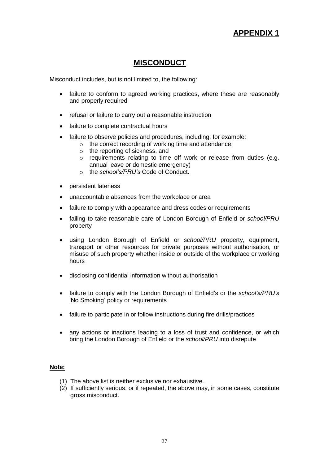# **APPENDIX 1**

### **MISCONDUCT**

Misconduct includes, but is not limited to, the following:

- failure to conform to agreed working practices, where these are reasonably and properly required
- refusal or failure to carry out a reasonable instruction
- failure to complete contractual hours
- failure to observe policies and procedures, including, for example:
	- o the correct recording of working time and attendance,
		- o the reporting of sickness, and
		- o requirements relating to time off work or release from duties (e.g. annual leave or domestic emergency)
		- o the *school's/PRU's* Code of Conduct.
- persistent lateness
- unaccountable absences from the workplace or area
- failure to comply with appearance and dress codes or requirements
- failing to take reasonable care of London Borough of Enfield or *school/PRU* property
- using London Borough of Enfield or *school/PRU* property, equipment, transport or other resources for private purposes without authorisation, or misuse of such property whether inside or outside of the workplace or working hours
- disclosing confidential information without authorisation
- failure to comply with the London Borough of Enfield's or the *school's/PRU's* 'No Smoking' policy or requirements
- failure to participate in or follow instructions during fire drills/practices
- any actions or inactions leading to a loss of trust and confidence, or which bring the London Borough of Enfield or the *school/PRU* into disrepute

#### **Note:**

- (1) The above list is neither exclusive nor exhaustive.
- (2) If sufficiently serious, or if repeated, the above may, in some cases, constitute gross misconduct.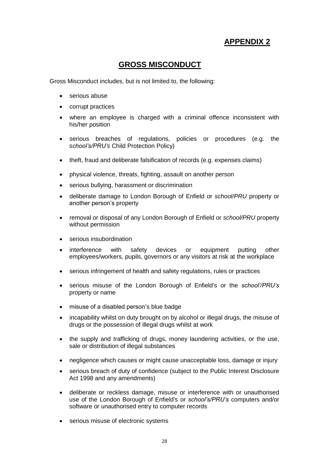# **APPENDIX 2**

### **GROSS MISCONDUCT**

Gross Misconduct includes, but is not limited to, the following:

- serious abuse
- corrupt practices
- where an employee is charged with a criminal offence inconsistent with his/her position
- serious breaches of regulations, policies or procedures (e.g. the *school's/PRU's* Child Protection Policy)
- theft, fraud and deliberate falsification of records (e.g. expenses claims)
- physical violence, threats, fighting, assault on another person
- serious bullying, harassment or discrimination
- deliberate damage to London Borough of Enfield or *school/PRU* property or another person's property
- removal or disposal of any London Borough of Enfield or *school/PRU* property without permission
- serious insubordination
- interference with safety devices or equipment putting other employees/workers, pupils, governors or any visitors at risk at the workplace
- serious infringement of health and safety regulations, rules or practices
- serious misuse of the London Borough of Enfield's or the *school'/PRU's* property or name
- misuse of a disabled person's blue badge
- incapability whilst on duty brought on by alcohol or illegal drugs, the misuse of drugs or the possession of illegal drugs whilst at work
- the supply and trafficking of drugs, money laundering activities, or the use, sale or distribution of illegal substances
- negligence which causes or might cause unacceptable loss, damage or injury
- serious breach of duty of confidence (subject to the Public Interest Disclosure Act 1998 and any amendments)
- deliberate or reckless damage, misuse or interference with or unauthorised use of the London Borough of Enfield's or *school's/PRU's* computers and/or software or unauthorised entry to computer records
- serious misuse of electronic systems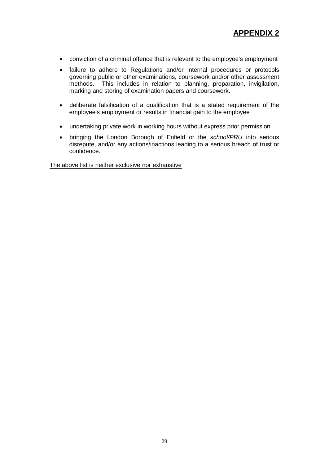- conviction of a criminal offence that is relevant to the employee's employment
- failure to adhere to Regulations and/or internal procedures or protocols governing public or other examinations, coursework and/or other assessment methods. This includes in relation to planning, preparation, invigilation, marking and storing of examination papers and coursework.
- deliberate falsification of a qualification that is a stated requirement of the employee's employment or results in financial gain to the employee
- undertaking private work in working hours without express prior permission
- bringing the London Borough of Enfield or the *school/PRU* into serious disrepute, and/or any actions/inactions leading to a serious breach of trust or confidence.

The above list is neither exclusive nor exhaustive